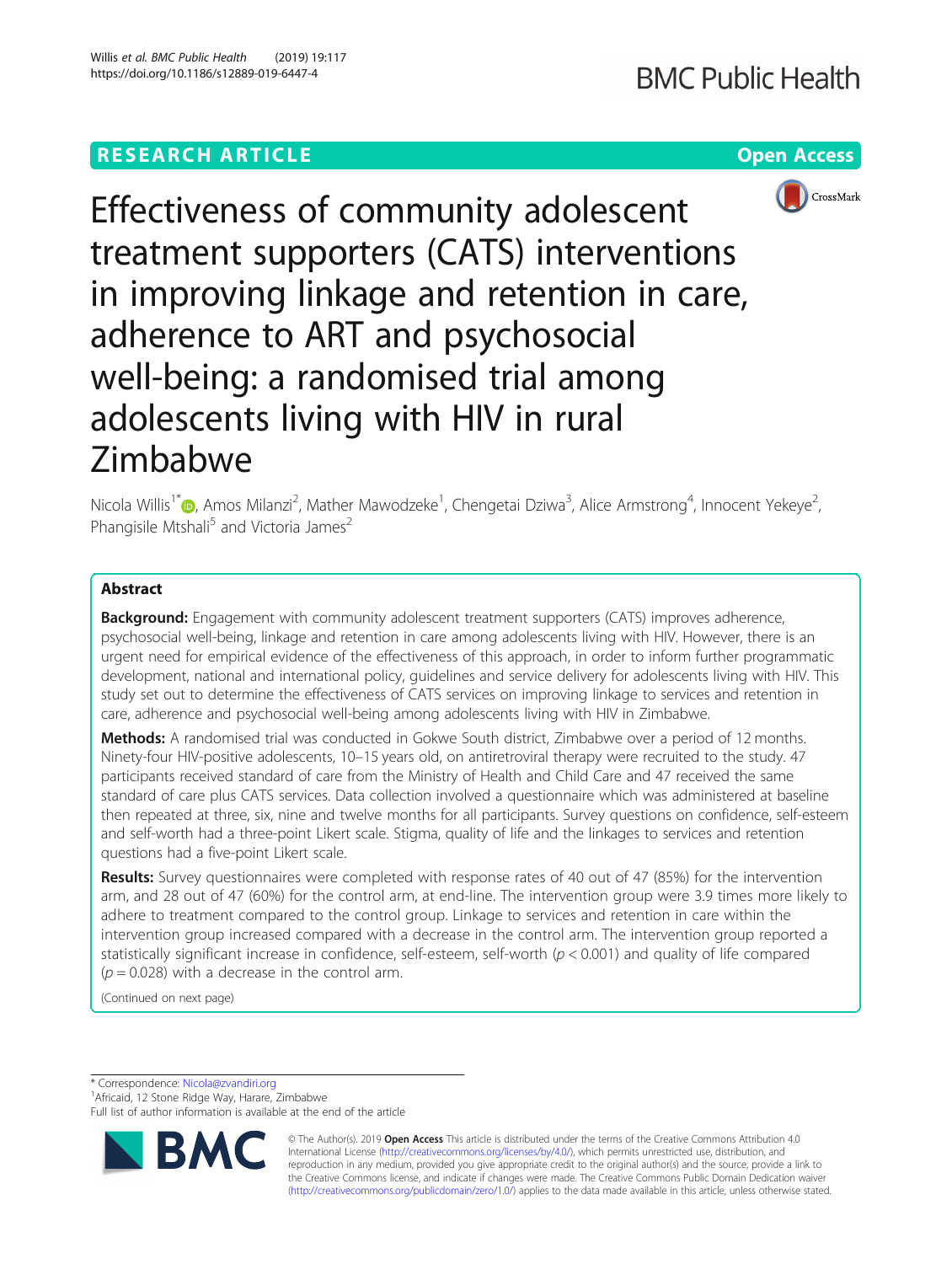# **RESEARCH ARTICLE Example 2018 12:30 THE Open Access**



Effectiveness of community adolescent treatment supporters (CATS) interventions in improving linkage and retention in care, adherence to ART and psychosocial well-being: a randomised trial among adolescents living with HIV in rural Zimbabwe

Nicola Willis<sup>1[\\*](http://orcid.org/0000-0003-0452-0196)</sup>®, Amos Milanzi<sup>2</sup>, Mather Mawodzeke<sup>1</sup>, Chengetai Dziwa<sup>3</sup>, Alice Armstrong<sup>4</sup>, Innocent Yekeye<sup>2</sup> , Phangisile Mtshali<sup>5</sup> and Victoria James<sup>2</sup>

# Abstract

**Background:** Engagement with community adolescent treatment supporters (CATS) improves adherence, psychosocial well-being, linkage and retention in care among adolescents living with HIV. However, there is an urgent need for empirical evidence of the effectiveness of this approach, in order to inform further programmatic development, national and international policy, guidelines and service delivery for adolescents living with HIV. This study set out to determine the effectiveness of CATS services on improving linkage to services and retention in care, adherence and psychosocial well-being among adolescents living with HIV in Zimbabwe.

Methods: A randomised trial was conducted in Gokwe South district, Zimbabwe over a period of 12 months. Ninety-four HIV-positive adolescents, 10–15 years old, on antiretroviral therapy were recruited to the study. 47 participants received standard of care from the Ministry of Health and Child Care and 47 received the same standard of care plus CATS services. Data collection involved a questionnaire which was administered at baseline then repeated at three, six, nine and twelve months for all participants. Survey questions on confidence, self-esteem and self-worth had a three-point Likert scale. Stigma, quality of life and the linkages to services and retention questions had a five-point Likert scale.

Results: Survey questionnaires were completed with response rates of 40 out of 47 (85%) for the intervention arm, and 28 out of 47 (60%) for the control arm, at end-line. The intervention group were 3.9 times more likely to adhere to treatment compared to the control group. Linkage to services and retention in care within the intervention group increased compared with a decrease in the control arm. The intervention group reported a statistically significant increase in confidence, self-esteem, self-worth  $(p < 0.001)$  and quality of life compared  $(p = 0.028)$  with a decrease in the control arm.

(Continued on next page)

\* Correspondence: [Nicola@zvandiri.org](mailto:Nicola@zvandiri.org) <sup>1</sup>

<sup>1</sup> Africaid, 12 Stone Ridge Way, Harare, Zimbabwe

Full list of author information is available at the end of the article



© The Author(s). 2019 **Open Access** This article is distributed under the terms of the Creative Commons Attribution 4.0 International License [\(http://creativecommons.org/licenses/by/4.0/](http://creativecommons.org/licenses/by/4.0/)), which permits unrestricted use, distribution, and reproduction in any medium, provided you give appropriate credit to the original author(s) and the source, provide a link to the Creative Commons license, and indicate if changes were made. The Creative Commons Public Domain Dedication waiver [\(http://creativecommons.org/publicdomain/zero/1.0/](http://creativecommons.org/publicdomain/zero/1.0/)) applies to the data made available in this article, unless otherwise stated.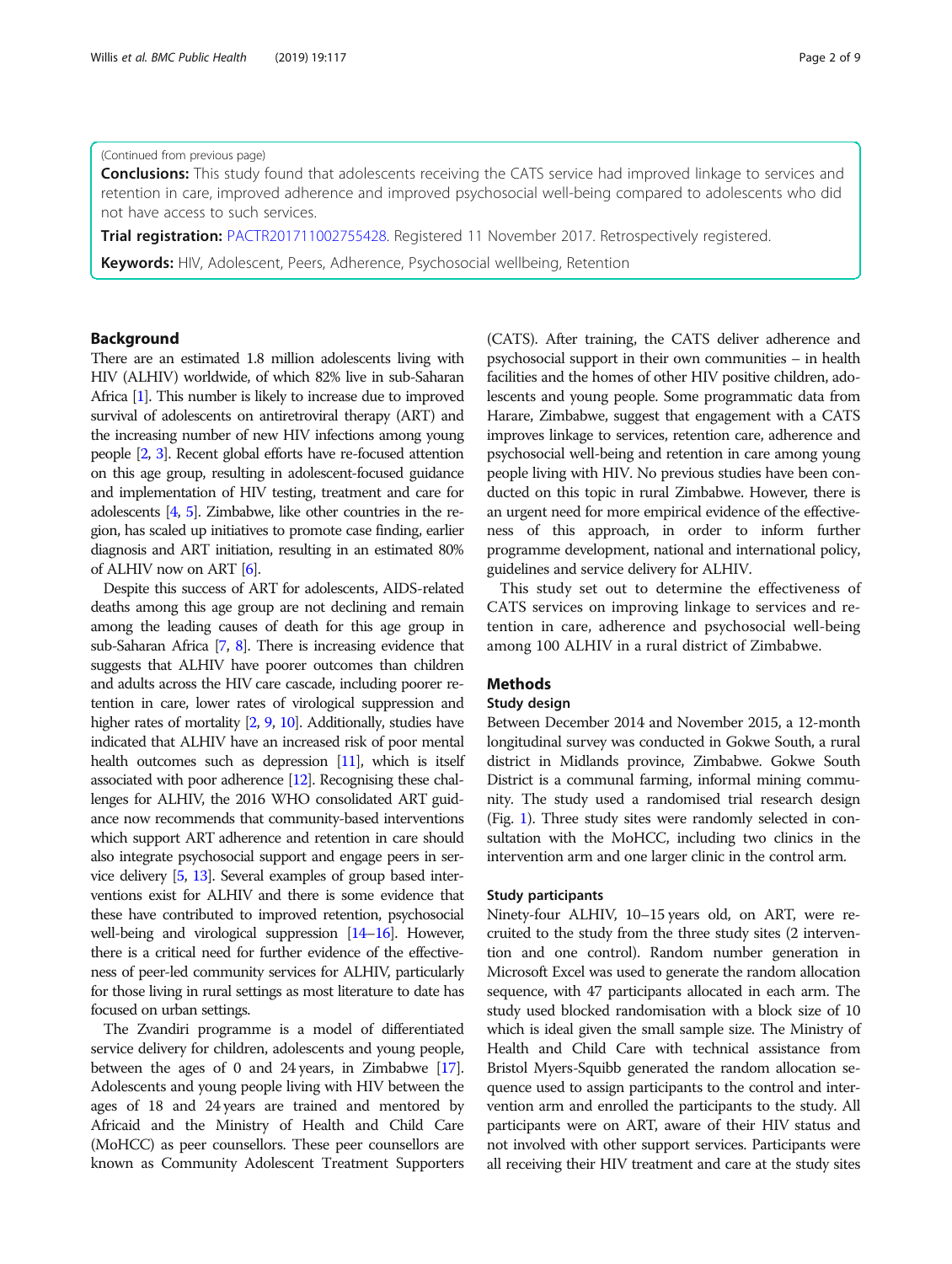#### (Continued from previous page)

**Conclusions:** This study found that adolescents receiving the CATS service had improved linkage to services and retention in care, improved adherence and improved psychosocial well-being compared to adolescents who did not have access to such services.

Trial registration: [PACTR201711002755428.](https://pactr.samrc.ac.za/TrialDisplay.aspx?TrialID=2755) Registered 11 November 2017. Retrospectively registered.

Keywords: HIV, Adolescent, Peers, Adherence, Psychosocial wellbeing, Retention

### Background

There are an estimated 1.8 million adolescents living with HIV (ALHIV) worldwide, of which 82% live in sub-Saharan Africa [[1](#page-8-0)]. This number is likely to increase due to improved survival of adolescents on antiretroviral therapy (ART) and the increasing number of new HIV infections among young people [\[2,](#page-8-0) [3](#page-8-0)]. Recent global efforts have re-focused attention on this age group, resulting in adolescent-focused guidance and implementation of HIV testing, treatment and care for adolescents [\[4](#page-8-0), [5\]](#page-8-0). Zimbabwe, like other countries in the region, has scaled up initiatives to promote case finding, earlier diagnosis and ART initiation, resulting in an estimated 80% of ALHIV now on ART [[6](#page-8-0)].

Despite this success of ART for adolescents, AIDS-related deaths among this age group are not declining and remain among the leading causes of death for this age group in sub-Saharan Africa [\[7,](#page-8-0) [8\]](#page-8-0). There is increasing evidence that suggests that ALHIV have poorer outcomes than children and adults across the HIV care cascade, including poorer retention in care, lower rates of virological suppression and higher rates of mortality [\[2,](#page-8-0) [9](#page-8-0), [10](#page-8-0)]. Additionally, studies have indicated that ALHIV have an increased risk of poor mental health outcomes such as depression  $[11]$ , which is itself associated with poor adherence [\[12](#page-8-0)]. Recognising these challenges for ALHIV, the 2016 WHO consolidated ART guidance now recommends that community-based interventions which support ART adherence and retention in care should also integrate psychosocial support and engage peers in service delivery [[5](#page-8-0), [13\]](#page-8-0). Several examples of group based interventions exist for ALHIV and there is some evidence that these have contributed to improved retention, psychosocial well-being and virological suppression [\[14](#page-8-0)–[16](#page-8-0)]. However, there is a critical need for further evidence of the effectiveness of peer-led community services for ALHIV, particularly for those living in rural settings as most literature to date has focused on urban settings.

The Zvandiri programme is a model of differentiated service delivery for children, adolescents and young people, between the ages of 0 and 24 years, in Zimbabwe [\[17](#page-8-0)]. Adolescents and young people living with HIV between the ages of 18 and 24 years are trained and mentored by Africaid and the Ministry of Health and Child Care (MoHCC) as peer counsellors. These peer counsellors are known as Community Adolescent Treatment Supporters (CATS). After training, the CATS deliver adherence and psychosocial support in their own communities – in health facilities and the homes of other HIV positive children, adolescents and young people. Some programmatic data from Harare, Zimbabwe, suggest that engagement with a CATS improves linkage to services, retention care, adherence and psychosocial well-being and retention in care among young people living with HIV. No previous studies have been conducted on this topic in rural Zimbabwe. However, there is an urgent need for more empirical evidence of the effectiveness of this approach, in order to inform further programme development, national and international policy, guidelines and service delivery for ALHIV.

This study set out to determine the effectiveness of CATS services on improving linkage to services and retention in care, adherence and psychosocial well-being among 100 ALHIV in a rural district of Zimbabwe.

# **Methods**

### Study design

Between December 2014 and November 2015, a 12-month longitudinal survey was conducted in Gokwe South, a rural district in Midlands province, Zimbabwe. Gokwe South District is a communal farming, informal mining community. The study used a randomised trial research design (Fig. [1\)](#page-2-0). Three study sites were randomly selected in consultation with the MoHCC, including two clinics in the intervention arm and one larger clinic in the control arm.

#### Study participants

Ninety-four ALHIV, 10–15 years old, on ART, were recruited to the study from the three study sites (2 intervention and one control). Random number generation in Microsoft Excel was used to generate the random allocation sequence, with 47 participants allocated in each arm. The study used blocked randomisation with a block size of 10 which is ideal given the small sample size. The Ministry of Health and Child Care with technical assistance from Bristol Myers-Squibb generated the random allocation sequence used to assign participants to the control and intervention arm and enrolled the participants to the study. All participants were on ART, aware of their HIV status and not involved with other support services. Participants were all receiving their HIV treatment and care at the study sites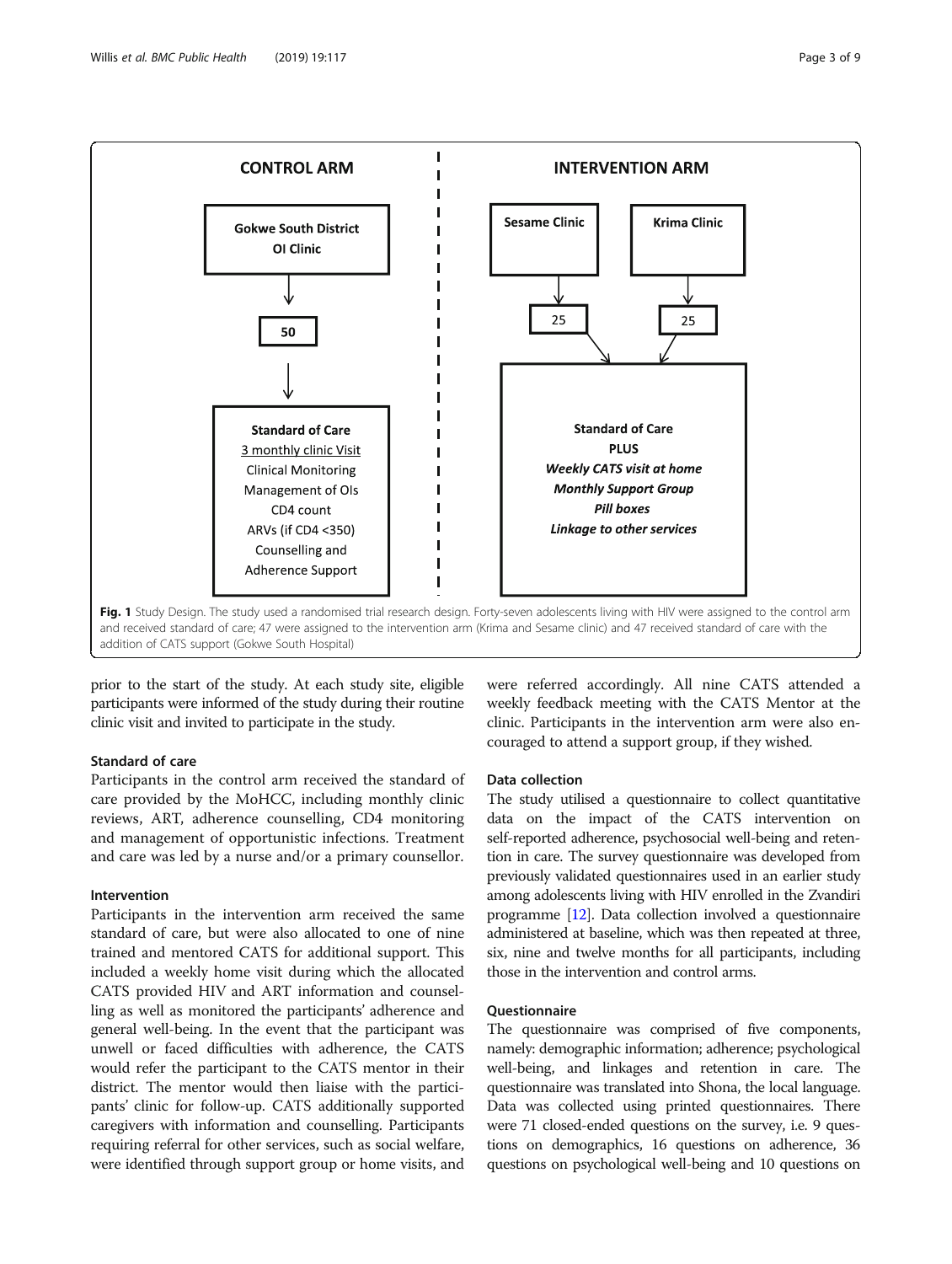<span id="page-2-0"></span>

prior to the start of the study. At each study site, eligible participants were informed of the study during their routine clinic visit and invited to participate in the study.

# Standard of care

Participants in the control arm received the standard of care provided by the MoHCC, including monthly clinic reviews, ART, adherence counselling, CD4 monitoring and management of opportunistic infections. Treatment and care was led by a nurse and/or a primary counsellor.

# Intervention

Participants in the intervention arm received the same standard of care, but were also allocated to one of nine trained and mentored CATS for additional support. This included a weekly home visit during which the allocated CATS provided HIV and ART information and counselling as well as monitored the participants' adherence and general well-being. In the event that the participant was unwell or faced difficulties with adherence, the CATS would refer the participant to the CATS mentor in their district. The mentor would then liaise with the participants' clinic for follow-up. CATS additionally supported caregivers with information and counselling. Participants requiring referral for other services, such as social welfare, were identified through support group or home visits, and

were referred accordingly. All nine CATS attended a weekly feedback meeting with the CATS Mentor at the clinic. Participants in the intervention arm were also encouraged to attend a support group, if they wished.

# Data collection

The study utilised a questionnaire to collect quantitative data on the impact of the CATS intervention on self-reported adherence, psychosocial well-being and retention in care. The survey questionnaire was developed from previously validated questionnaires used in an earlier study among adolescents living with HIV enrolled in the Zvandiri programme [[12](#page-8-0)]. Data collection involved a questionnaire administered at baseline, which was then repeated at three, six, nine and twelve months for all participants, including those in the intervention and control arms.

# Questionnaire

The questionnaire was comprised of five components, namely: demographic information; adherence; psychological well-being, and linkages and retention in care. The questionnaire was translated into Shona, the local language. Data was collected using printed questionnaires. There were 71 closed-ended questions on the survey, i.e. 9 questions on demographics, 16 questions on adherence, 36 questions on psychological well-being and 10 questions on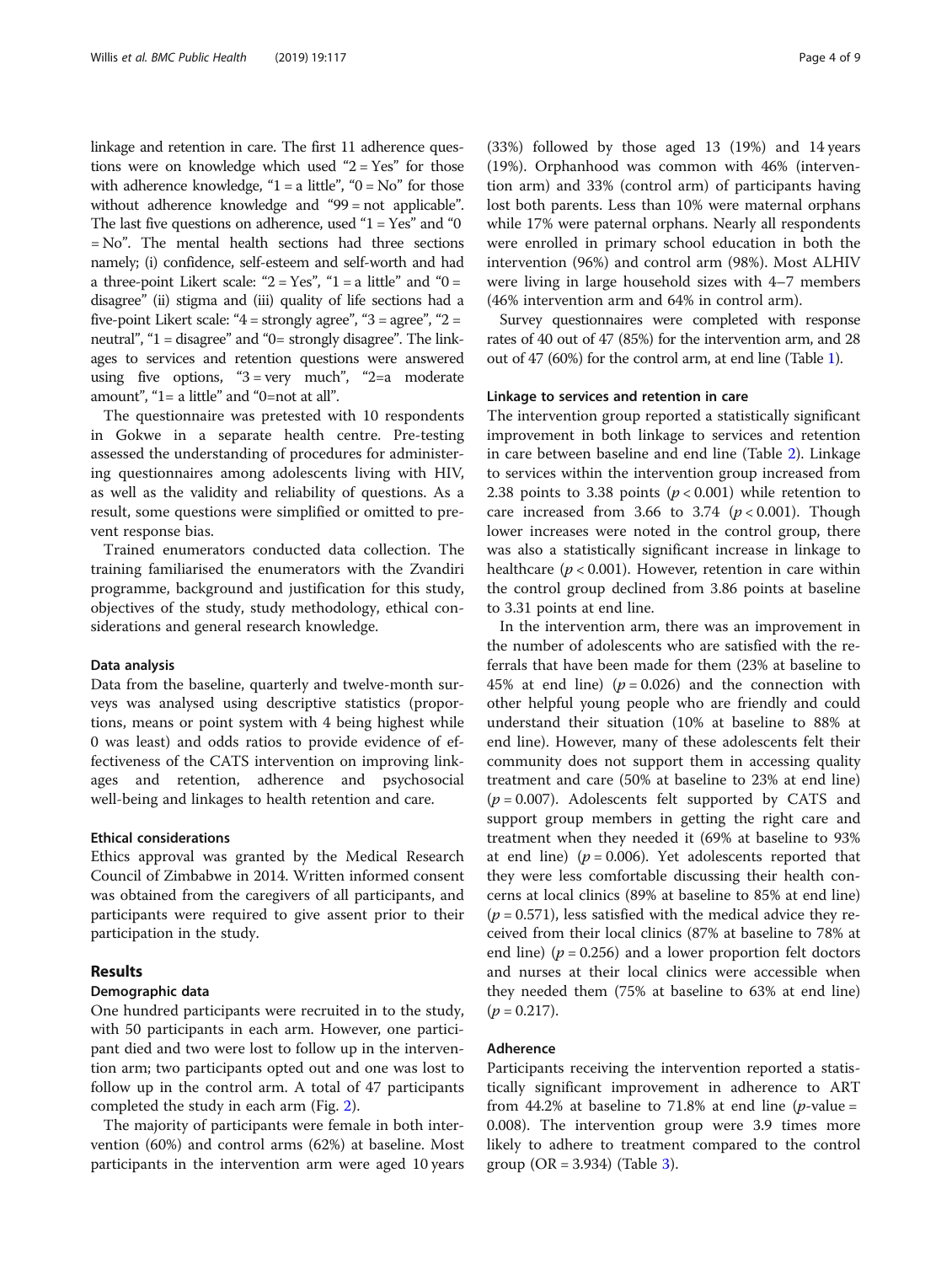linkage and retention in care. The first 11 adherence questions were on knowledge which used "2 = Yes" for those with adherence knowledge, " $1 = a$  little", " $0 = No$ " for those without adherence knowledge and "99 = not applicable". The last five questions on adherence, used " $1 = Yes$ " and "0 = No". The mental health sections had three sections namely; (i) confidence, self-esteem and self-worth and had a three-point Likert scale: " $2 = Yes$ ", " $1 = a$  little" and " $0 = a$ disagree" (ii) stigma and (iii) quality of life sections had a five-point Likert scale: " $4 =$  strongly agree", " $3 =$  agree", " $2 =$ neutral", "1 = disagree" and "0= strongly disagree". The linkages to services and retention questions were answered using five options,  $43 = \text{very much}$ ,  $42 = a$  moderate amount", "1= a little" and "0=not at all".

The questionnaire was pretested with 10 respondents in Gokwe in a separate health centre. Pre-testing assessed the understanding of procedures for administering questionnaires among adolescents living with HIV, as well as the validity and reliability of questions. As a result, some questions were simplified or omitted to prevent response bias.

Trained enumerators conducted data collection. The training familiarised the enumerators with the Zvandiri programme, background and justification for this study, objectives of the study, study methodology, ethical considerations and general research knowledge.

### Data analysis

Data from the baseline, quarterly and twelve-month surveys was analysed using descriptive statistics (proportions, means or point system with 4 being highest while 0 was least) and odds ratios to provide evidence of effectiveness of the CATS intervention on improving linkages and retention, adherence and psychosocial well-being and linkages to health retention and care.

#### Ethical considerations

Ethics approval was granted by the Medical Research Council of Zimbabwe in 2014. Written informed consent was obtained from the caregivers of all participants, and participants were required to give assent prior to their participation in the study.

### Results

### Demographic data

One hundred participants were recruited in to the study, with 50 participants in each arm. However, one participant died and two were lost to follow up in the intervention arm; two participants opted out and one was lost to follow up in the control arm. A total of 47 participants completed the study in each arm (Fig. [2](#page-4-0)).

The majority of participants were female in both intervention (60%) and control arms (62%) at baseline. Most participants in the intervention arm were aged 10 years (33%) followed by those aged 13 (19%) and 14 years (19%). Orphanhood was common with 46% (intervention arm) and 33% (control arm) of participants having lost both parents. Less than 10% were maternal orphans while 17% were paternal orphans. Nearly all respondents were enrolled in primary school education in both the intervention (96%) and control arm (98%). Most ALHIV were living in large household sizes with 4–7 members (46% intervention arm and 64% in control arm).

Survey questionnaires were completed with response rates of 40 out of 47 (85%) for the intervention arm, and 28 out of 47 (60%) for the control arm, at end line (Table [1\)](#page-5-0).

### Linkage to services and retention in care

The intervention group reported a statistically significant improvement in both linkage to services and retention in care between baseline and end line (Table [2\)](#page-6-0). Linkage to services within the intervention group increased from 2.38 points to 3.38 points ( $p < 0.001$ ) while retention to care increased from 3.66 to 3.74  $(p < 0.001)$ . Though lower increases were noted in the control group, there was also a statistically significant increase in linkage to healthcare ( $p < 0.001$ ). However, retention in care within the control group declined from 3.86 points at baseline to 3.31 points at end line.

In the intervention arm, there was an improvement in the number of adolescents who are satisfied with the referrals that have been made for them (23% at baseline to 45% at end line) ( $p = 0.026$ ) and the connection with other helpful young people who are friendly and could understand their situation (10% at baseline to 88% at end line). However, many of these adolescents felt their community does not support them in accessing quality treatment and care (50% at baseline to 23% at end line)  $(p = 0.007)$ . Adolescents felt supported by CATS and support group members in getting the right care and treatment when they needed it (69% at baseline to 93% at end line) ( $p = 0.006$ ). Yet adolescents reported that they were less comfortable discussing their health concerns at local clinics (89% at baseline to 85% at end line)  $(p = 0.571)$ , less satisfied with the medical advice they received from their local clinics (87% at baseline to 78% at end line) ( $p = 0.256$ ) and a lower proportion felt doctors and nurses at their local clinics were accessible when they needed them (75% at baseline to 63% at end line)  $(p = 0.217).$ 

# Adherence

Participants receiving the intervention reported a statistically significant improvement in adherence to ART from 44.2% at baseline to 71.8% at end line (*p*-value = 0.008). The intervention group were 3.9 times more likely to adhere to treatment compared to the control group  $(OR = 3.934)$  $(OR = 3.934)$  $(OR = 3.934)$  (Table 3).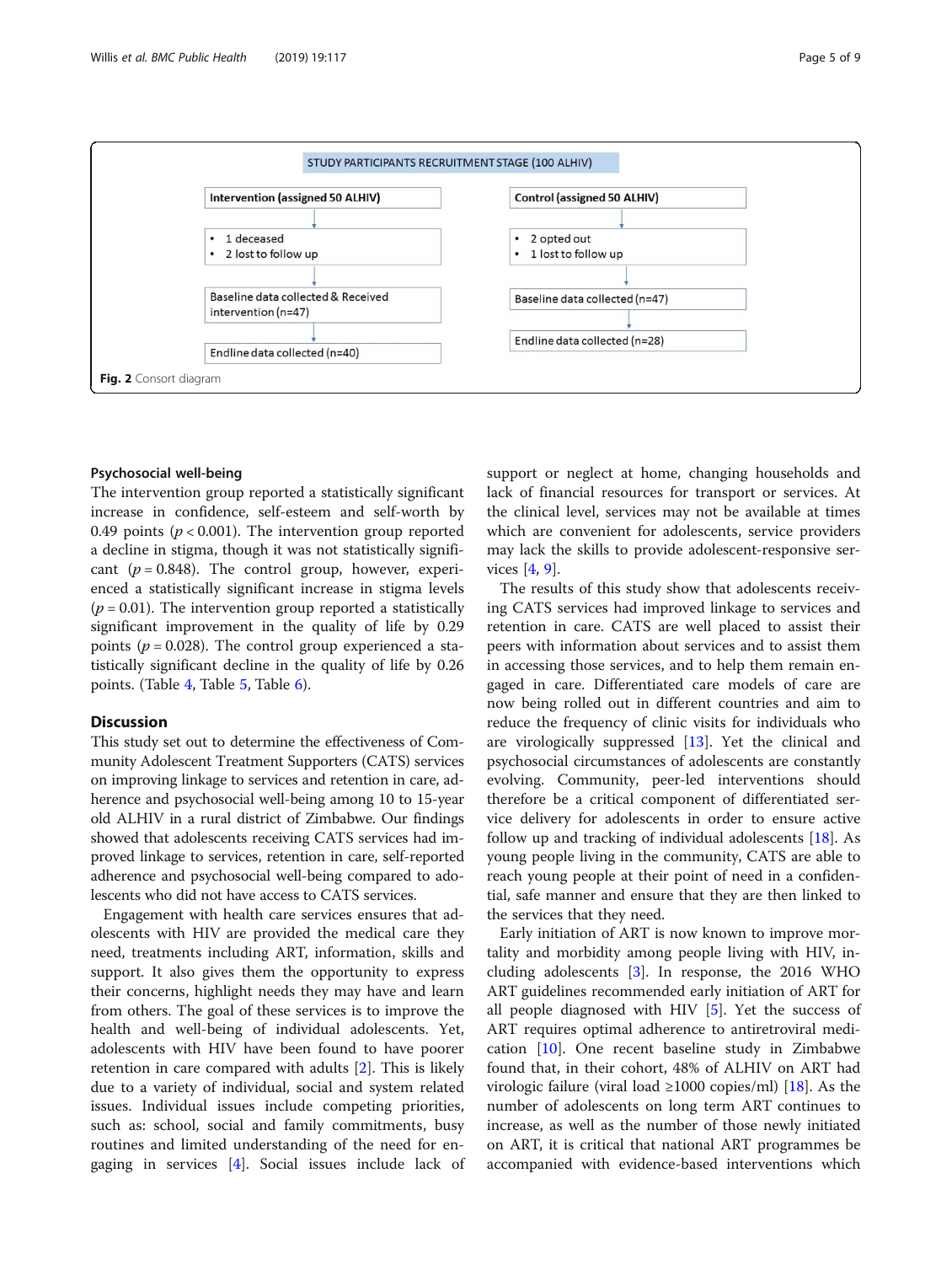

<span id="page-4-0"></span>

# Psychosocial well-being

The intervention group reported a statistically significant increase in confidence, self-esteem and self-worth by 0.49 points ( $p < 0.001$ ). The intervention group reported a decline in stigma, though it was not statistically significant ( $p = 0.848$ ). The control group, however, experienced a statistically significant increase in stigma levels  $(p = 0.01)$ . The intervention group reported a statistically significant improvement in the quality of life by 0.29 points ( $p = 0.028$ ). The control group experienced a statistically significant decline in the quality of life by 0.26 points. (Table [4](#page-7-0), Table [5,](#page-7-0) Table [6](#page-7-0)).

# Discussion

This study set out to determine the effectiveness of Community Adolescent Treatment Supporters (CATS) services on improving linkage to services and retention in care, adherence and psychosocial well-being among 10 to 15-year old ALHIV in a rural district of Zimbabwe. Our findings showed that adolescents receiving CATS services had improved linkage to services, retention in care, self-reported adherence and psychosocial well-being compared to adolescents who did not have access to CATS services.

Engagement with health care services ensures that adolescents with HIV are provided the medical care they need, treatments including ART, information, skills and support. It also gives them the opportunity to express their concerns, highlight needs they may have and learn from others. The goal of these services is to improve the health and well-being of individual adolescents. Yet, adolescents with HIV have been found to have poorer retention in care compared with adults [[2\]](#page-8-0). This is likely due to a variety of individual, social and system related issues. Individual issues include competing priorities, such as: school, social and family commitments, busy routines and limited understanding of the need for engaging in services [[4\]](#page-8-0). Social issues include lack of support or neglect at home, changing households and lack of financial resources for transport or services. At the clinical level, services may not be available at times which are convenient for adolescents, service providers may lack the skills to provide adolescent-responsive services [\[4](#page-8-0), [9](#page-8-0)].

The results of this study show that adolescents receiving CATS services had improved linkage to services and retention in care. CATS are well placed to assist their peers with information about services and to assist them in accessing those services, and to help them remain engaged in care. Differentiated care models of care are now being rolled out in different countries and aim to reduce the frequency of clinic visits for individuals who are virologically suppressed [[13\]](#page-8-0). Yet the clinical and psychosocial circumstances of adolescents are constantly evolving. Community, peer-led interventions should therefore be a critical component of differentiated service delivery for adolescents in order to ensure active follow up and tracking of individual adolescents [\[18](#page-8-0)]. As young people living in the community, CATS are able to reach young people at their point of need in a confidential, safe manner and ensure that they are then linked to the services that they need.

Early initiation of ART is now known to improve mortality and morbidity among people living with HIV, including adolescents [[3\]](#page-8-0). In response, the 2016 WHO ART guidelines recommended early initiation of ART for all people diagnosed with HIV [[5\]](#page-8-0). Yet the success of ART requires optimal adherence to antiretroviral medication [[10\]](#page-8-0). One recent baseline study in Zimbabwe found that, in their cohort, 48% of ALHIV on ART had virologic failure (viral load  $\geq$ 1000 copies/ml) [[18](#page-8-0)]. As the number of adolescents on long term ART continues to increase, as well as the number of those newly initiated on ART, it is critical that national ART programmes be accompanied with evidence-based interventions which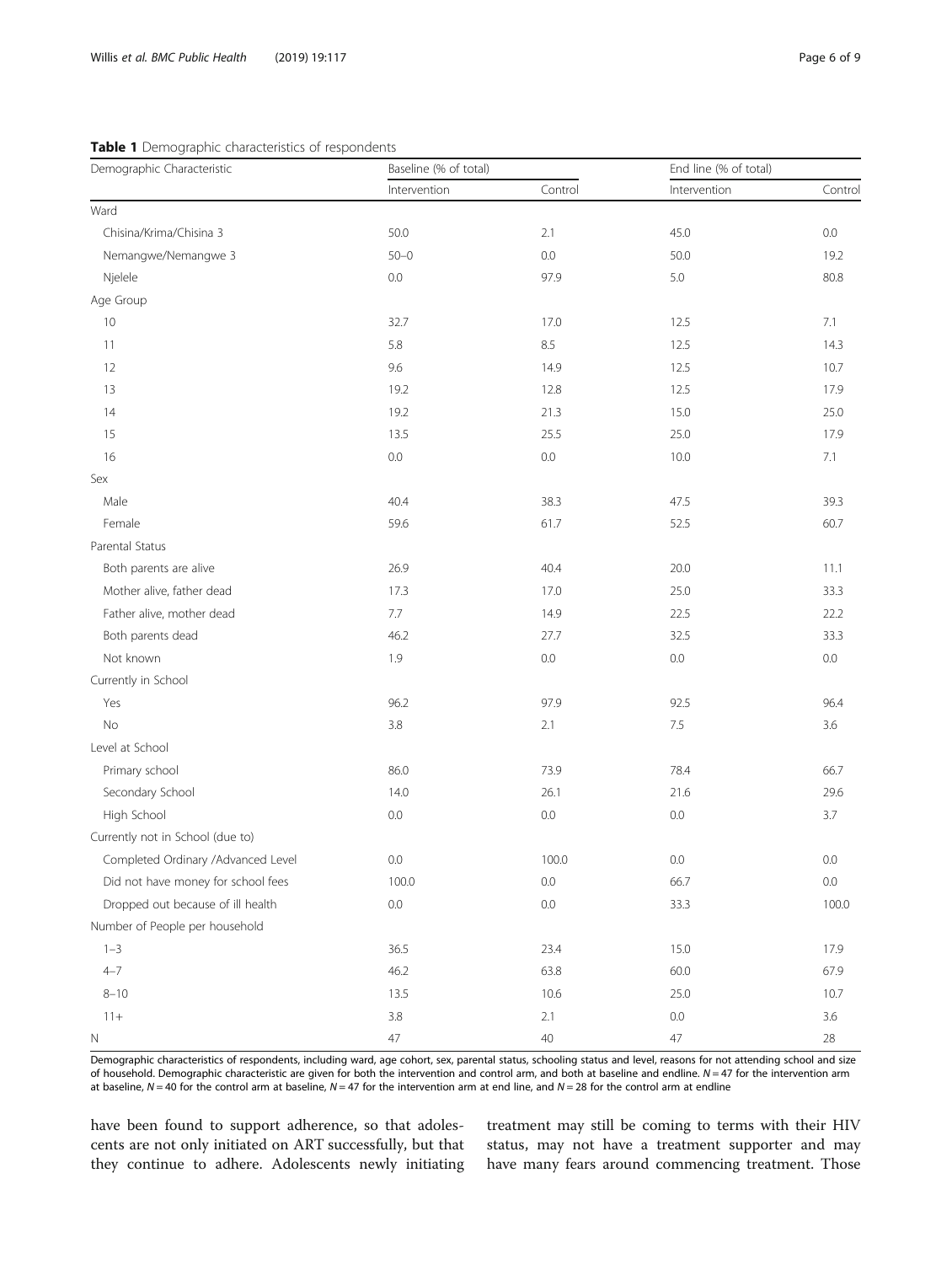# <span id="page-5-0"></span>Table 1 Demographic characteristics of respondents

| Demographic Characteristic         | Baseline (% of total) |         | End line (% of total) |         |  |
|------------------------------------|-----------------------|---------|-----------------------|---------|--|
|                                    | Intervention          | Control | Intervention          | Control |  |
| Ward                               |                       |         |                       |         |  |
| Chisina/Krima/Chisina 3            | 50.0                  | 2.1     | 45.0                  | 0.0     |  |
| Nemangwe/Nemangwe 3                | $50 - 0$              | 0.0     | 50.0                  | 19.2    |  |
| Njelele                            | 0.0                   | 97.9    | 5.0                   | 80.8    |  |
| Age Group                          |                       |         |                       |         |  |
| 10                                 | 32.7                  | 17.0    | 12.5                  | 7.1     |  |
| 11                                 | 5.8                   | 8.5     | 12.5                  | 14.3    |  |
| 12                                 | 9.6                   | 14.9    | 12.5                  | 10.7    |  |
| 13                                 | 19.2                  | 12.8    | 12.5                  | 17.9    |  |
| 14                                 | 19.2                  | 21.3    | 15.0                  | 25.0    |  |
| 15                                 | 13.5                  | 25.5    | 25.0                  | 17.9    |  |
| 16                                 | $0.0\,$               | $0.0\,$ | 10.0                  | 7.1     |  |
| Sex                                |                       |         |                       |         |  |
| Male                               | 40.4                  | 38.3    | 47.5                  | 39.3    |  |
| Female                             | 59.6                  | 61.7    | 52.5                  | 60.7    |  |
| Parental Status                    |                       |         |                       |         |  |
| Both parents are alive             | 26.9                  | 40.4    | 20.0                  | 11.1    |  |
| Mother alive, father dead          | 17.3                  | 17.0    | 25.0                  | 33.3    |  |
| Father alive, mother dead          | 7.7                   | 14.9    | 22.5                  | 22.2    |  |
| Both parents dead                  | 46.2                  | 27.7    | 32.5                  | 33.3    |  |
| Not known                          | 1.9                   | 0.0     | 0.0                   | $0.0\,$ |  |
| Currently in School                |                       |         |                       |         |  |
| Yes                                | 96.2                  | 97.9    | 92.5                  | 96.4    |  |
| No                                 | 3.8                   | 2.1     | $7.5\,$               | 3.6     |  |
| Level at School                    |                       |         |                       |         |  |
| Primary school                     | 86.0                  | 73.9    | 78.4                  | 66.7    |  |
| Secondary School                   | 14.0                  | 26.1    | 21.6                  | 29.6    |  |
| High School                        | 0.0                   | 0.0     | $0.0\,$               | 3.7     |  |
| Currently not in School (due to)   |                       |         |                       |         |  |
| Completed Ordinary /Advanced Level | 0.0                   | 100.0   | 0.0                   | 0.0     |  |
| Did not have money for school fees | 100.0                 | 0.0     | 66.7                  | $0.0\,$ |  |
| Dropped out because of ill health  | 0.0                   | 0.0     | 33.3                  | 100.0   |  |
| Number of People per household     |                       |         |                       |         |  |
| $1 - 3$                            | 36.5                  | 23.4    | 15.0                  | 17.9    |  |
| $4 - 7$                            | 46.2                  | 63.8    | 60.0                  | 67.9    |  |
| $8 - 10$                           | 13.5                  | 10.6    | 25.0                  | 10.7    |  |
| $11 +$                             | 3.8                   | 2.1     | $0.0\,$               | $3.6\,$ |  |
| N                                  | $47\,$                | 40      | $47\,$                | $28\,$  |  |

Demographic characteristics of respondents, including ward, age cohort, sex, parental status, schooling status and level, reasons for not attending school and size of household. Demographic characteristic are given for both the intervention and control arm, and both at baseline and endline.  $N = 47$  for the intervention arm at baseline,  $N = 40$  for the control arm at baseline,  $N = 47$  for the intervention arm at end line, and  $N = 28$  for the control arm at endline

have been found to support adherence, so that adolescents are not only initiated on ART successfully, but that they continue to adhere. Adolescents newly initiating

treatment may still be coming to terms with their HIV status, may not have a treatment supporter and may have many fears around commencing treatment. Those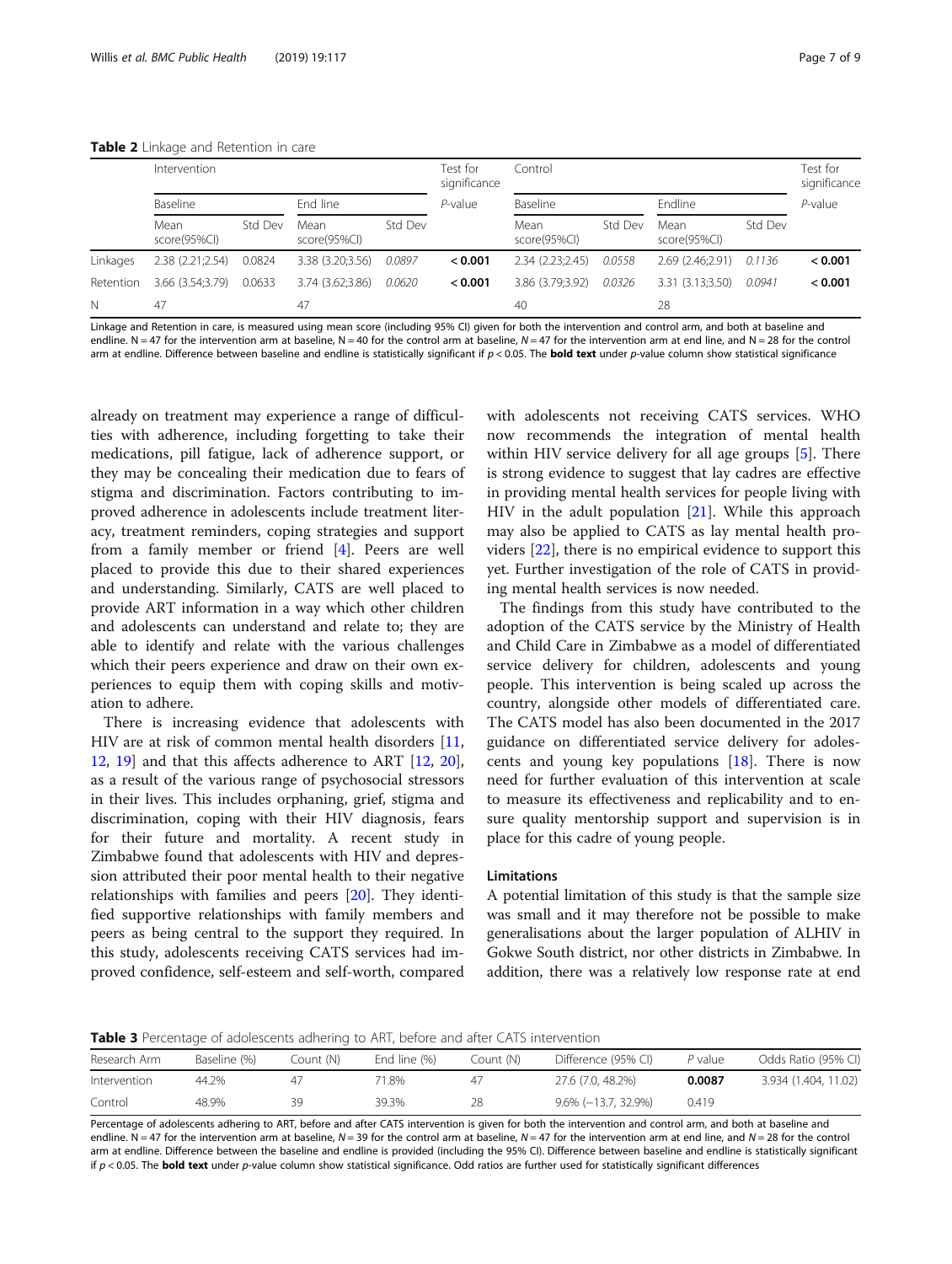<span id="page-6-0"></span>

|           | Intervention         |         |                      | Test for<br>significance | Control    |                      |         |                      | Test for<br>significance |            |
|-----------|----------------------|---------|----------------------|--------------------------|------------|----------------------|---------|----------------------|--------------------------|------------|
|           | Baseline             |         | End line             |                          | $P$ -value | Baseline             |         | Endline              |                          | $P$ -value |
|           | Mean<br>score(95%Cl) | Std Dev | Mean<br>score(95%Cl) | Std Dev                  |            | Mean<br>score(95%Cl) | Std Dev | Mean<br>score(95%Cl) | Std Dev                  |            |
| Linkages  | 2.38(2.21;2.54)      | 0.0824  | 3.38 (3.20:3.56)     | 0.0897                   | 0.001      | 2.34 (2.23:2.45)     | 0.0558  | 2.69 (2.46:2.91)     | 0.1136                   | < 0.001    |
| Retention | 3.66 (3.54:3.79)     | 0.0633  | 3.74 (3.62:3.86)     | 0.0620                   | < 0.001    | 3.86 (3.79:3.92)     | 0.0326  | 3.31 (3.13:3.50)     | 0.0941                   | < 0.001    |
| N         | 47                   |         | 47                   |                          |            | 40                   |         | 28                   |                          |            |

Linkage and Retention in care, is measured using mean score (including 95% CI) given for both the intervention and control arm, and both at baseline and endline. N = 47 for the intervention arm at baseline, N = 40 for the control arm at baseline, N = 47 for the intervention arm at end line, and N = 28 for the control arm at endline. Difference between baseline and endline is statistically significant if  $p < 0.05$ . The **bold text** under p-value column show statistical significance

already on treatment may experience a range of difficulties with adherence, including forgetting to take their medications, pill fatigue, lack of adherence support, or they may be concealing their medication due to fears of stigma and discrimination. Factors contributing to improved adherence in adolescents include treatment literacy, treatment reminders, coping strategies and support from a family member or friend [[4\]](#page-8-0). Peers are well placed to provide this due to their shared experiences and understanding. Similarly, CATS are well placed to provide ART information in a way which other children and adolescents can understand and relate to; they are able to identify and relate with the various challenges which their peers experience and draw on their own experiences to equip them with coping skills and motivation to adhere.

There is increasing evidence that adolescents with HIV are at risk of common mental health disorders [[11](#page-8-0), [12,](#page-8-0) [19](#page-8-0)] and that this affects adherence to ART [[12,](#page-8-0) [20](#page-8-0)], as a result of the various range of psychosocial stressors in their lives. This includes orphaning, grief, stigma and discrimination, coping with their HIV diagnosis, fears for their future and mortality. A recent study in Zimbabwe found that adolescents with HIV and depression attributed their poor mental health to their negative relationships with families and peers [\[20](#page-8-0)]. They identified supportive relationships with family members and peers as being central to the support they required. In this study, adolescents receiving CATS services had improved confidence, self-esteem and self-worth, compared

with adolescents not receiving CATS services. WHO now recommends the integration of mental health within HIV service delivery for all age groups [[5\]](#page-8-0). There is strong evidence to suggest that lay cadres are effective in providing mental health services for people living with HIV in the adult population [[21\]](#page-8-0). While this approach may also be applied to CATS as lay mental health providers [[22\]](#page-8-0), there is no empirical evidence to support this yet. Further investigation of the role of CATS in providing mental health services is now needed.

The findings from this study have contributed to the adoption of the CATS service by the Ministry of Health and Child Care in Zimbabwe as a model of differentiated service delivery for children, adolescents and young people. This intervention is being scaled up across the country, alongside other models of differentiated care. The CATS model has also been documented in the 2017 guidance on differentiated service delivery for adolescents and young key populations  $[18]$  $[18]$ . There is now need for further evaluation of this intervention at scale to measure its effectiveness and replicability and to ensure quality mentorship support and supervision is in place for this cadre of young people.

### Limitations

A potential limitation of this study is that the sample size was small and it may therefore not be possible to make generalisations about the larger population of ALHIV in Gokwe South district, nor other districts in Zimbabwe. In addition, there was a relatively low response rate at end

Table 3 Percentage of adolescents adhering to ART, before and after CATS intervention

| Research Arm | Baseline (%) | Count (N) | End line (%) | Count (N) | Difference (95% CI) | P value | Odds Ratio (95% CI)  |
|--------------|--------------|-----------|--------------|-----------|---------------------|---------|----------------------|
| Intervention | 44.2%        | 47        | '1.8%        |           | 27.6 (7.0, 48.2%)   | 0.0087  | 3.934 (1.404, 11.02) |
| Control      | 48.9%        | 30        | 39.3%        | 28        | 9.6% (-13.7, 32.9%) | 0.419   |                      |

Percentage of adolescents adhering to ART, before and after CATS intervention is given for both the intervention and control arm, and both at baseline and endline. N = 47 for the intervention arm at baseline, N = 39 for the control arm at baseline, N = 47 for the intervention arm at end line, and N = 28 for the control arm at endline. Difference between the baseline and endline is provided (including the 95% CI). Difference between baseline and endline is statistically significant if  $p < 0.05$ . The **bold text** under  $p$ -value column show statistical significance. Odd ratios are further used for statistically significant differences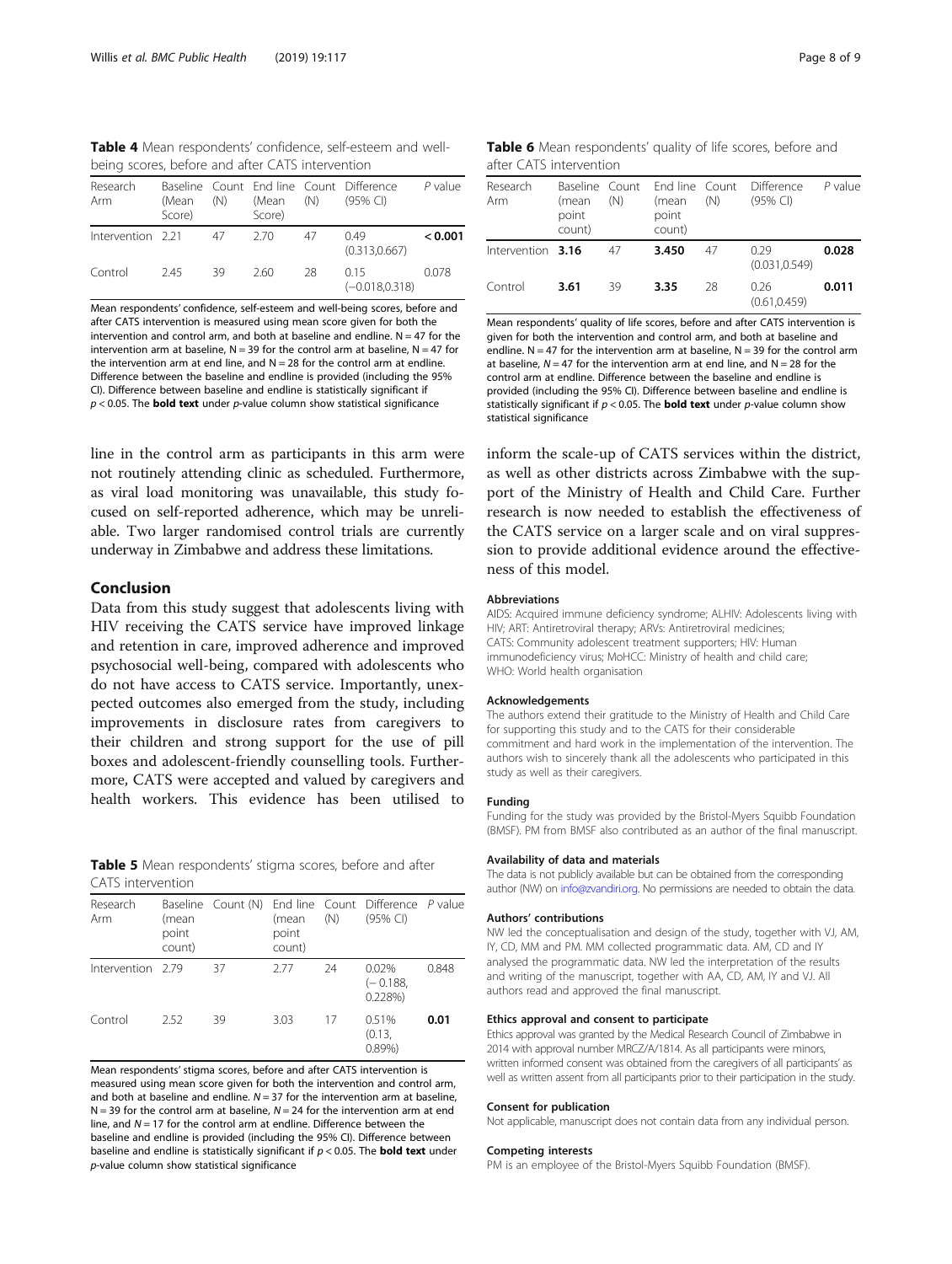<span id="page-7-0"></span>Table 4 Mean respondents' confidence, self-esteem and wellbeing scores, before and after CATS intervention

| Research<br>Arm   | (Mean<br>Score) | (N) | (Mean<br>Score) | (N) | Baseline Count End line Count Difference<br>$(95%$ CI) | $P$ value |
|-------------------|-----------------|-----|-----------------|-----|--------------------------------------------------------|-----------|
| Intervention 2.21 |                 | 47  | -2.70           | 47  | 049<br>(0.313.0.667)                                   | < 0.001   |
| Control           | 245             | 39  | 260             | 28  | 015<br>$(-0.018, 0.318)$                               | 0.078     |

Mean respondents' confidence, self-esteem and well-being scores, before and after CATS intervention is measured using mean score given for both the intervention and control arm, and both at baseline and endline.  $N = 47$  for the intervention arm at baseline,  $N = 39$  for the control arm at baseline,  $N = 47$  for the intervention arm at end line, and  $N = 28$  for the control arm at endline. Difference between the baseline and endline is provided (including the 95% CI). Difference between baseline and endline is statistically significant if  $p < 0.05$ . The **bold text** under p-value column show statistical significance

line in the control arm as participants in this arm were not routinely attending clinic as scheduled. Furthermore, as viral load monitoring was unavailable, this study focused on self-reported adherence, which may be unreliable. Two larger randomised control trials are currently underway in Zimbabwe and address these limitations.

# Conclusion

Data from this study suggest that adolescents living with HIV receiving the CATS service have improved linkage and retention in care, improved adherence and improved psychosocial well-being, compared with adolescents who do not have access to CATS service. Importantly, unexpected outcomes also emerged from the study, including improvements in disclosure rates from caregivers to their children and strong support for the use of pill boxes and adolescent-friendly counselling tools. Furthermore, CATS were accepted and valued by caregivers and health workers. This evidence has been utilised to

Table 5 Mean respondents' stigma scores, before and after CATS intervention

| Research<br>Arm   | (mean<br>point<br>count) |    | (mean<br>point<br>count) | (N) | Baseline Count (N) End line Count Difference P value<br>$(95%$ CI) |       |
|-------------------|--------------------------|----|--------------------------|-----|--------------------------------------------------------------------|-------|
| Intervention 2.79 |                          | 37 | 2.77                     | 24  | 0.02%<br>$(-0.188,$<br>0.228%                                      | 0.848 |
| Control           | 2.52                     | 39 | 3.03                     | 17  | 0.51%<br>(0.13,<br>0.89%                                           | 0.01  |

Mean respondents' stigma scores, before and after CATS intervention is measured using mean score given for both the intervention and control arm, and both at baseline and endline.  $N = 37$  for the intervention arm at baseline.  $N = 39$  for the control arm at baseline,  $N = 24$  for the intervention arm at end line, and  $N = 17$  for the control arm at endline. Difference between the baseline and endline is provided (including the 95% CI). Difference between baseline and endline is statistically significant if  $p < 0.05$ . The **bold text** under p-value column show statistical significance

| Table 6 Mean respondents' quality of life scores, before and |  |  |  |
|--------------------------------------------------------------|--|--|--|
| after CATS intervention                                      |  |  |  |

| Research<br>Arm   | Baseline Count<br>(mean<br>point<br>count) | (N) | End line Count<br>(mean<br>point<br>count) | (N) | Difference<br>$(95%$ CI) | $P$ value |
|-------------------|--------------------------------------------|-----|--------------------------------------------|-----|--------------------------|-----------|
| Intervention 3.16 |                                            | 47  | 3.450                                      | 47  | 0.29<br>(0.031.0.549)    | 0.028     |
| Control           | 3.61                                       | 39  | 3.35                                       | -28 | 0.26<br>(0.61, 0.459)    | 0.011     |

Mean respondents' quality of life scores, before and after CATS intervention is given for both the intervention and control arm, and both at baseline and endline.  $N = 47$  for the intervention arm at baseline,  $N = 39$  for the control arm at baseline,  $N = 47$  for the intervention arm at end line, and  $N = 28$  for the control arm at endline. Difference between the baseline and endline is provided (including the 95% CI). Difference between baseline and endline is statistically significant if  $p < 0.05$ . The **bold text** under p-value column show statistical significance

inform the scale-up of CATS services within the district, as well as other districts across Zimbabwe with the support of the Ministry of Health and Child Care. Further research is now needed to establish the effectiveness of the CATS service on a larger scale and on viral suppression to provide additional evidence around the effectiveness of this model.

#### Abbreviations

AIDS: Acquired immune deficiency syndrome; ALHIV: Adolescents living with HIV; ART: Antiretroviral therapy; ARVs: Antiretroviral medicines; CATS: Community adolescent treatment supporters; HIV: Human immunodeficiency virus; MoHCC: Ministry of health and child care; WHO: World health organisation

#### Acknowledgements

The authors extend their gratitude to the Ministry of Health and Child Care for supporting this study and to the CATS for their considerable commitment and hard work in the implementation of the intervention. The authors wish to sincerely thank all the adolescents who participated in this study as well as their caregivers.

#### Funding

Funding for the study was provided by the Bristol-Myers Squibb Foundation (BMSF). PM from BMSF also contributed as an author of the final manuscript.

#### Availability of data and materials

The data is not publicly available but can be obtained from the corresponding author (NW) on [info@zvandiri.org](mailto:info@zvandiri.org). No permissions are needed to obtain the data.

#### Authors' contributions

NW led the conceptualisation and design of the study, together with VJ, AM, IY, CD, MM and PM. MM collected programmatic data. AM, CD and IY analysed the programmatic data. NW led the interpretation of the results and writing of the manuscript, together with AA, CD, AM, IY and VJ. All authors read and approved the final manuscript.

#### Ethics approval and consent to participate

Ethics approval was granted by the Medical Research Council of Zimbabwe in 2014 with approval number MRCZ/A/1814. As all participants were minors, written informed consent was obtained from the caregivers of all participants' as well as written assent from all participants prior to their participation in the study.

# Consent for publication

Not applicable, manuscript does not contain data from any individual person.

#### Competing interests

PM is an employee of the Bristol-Myers Squibb Foundation (BMSF).